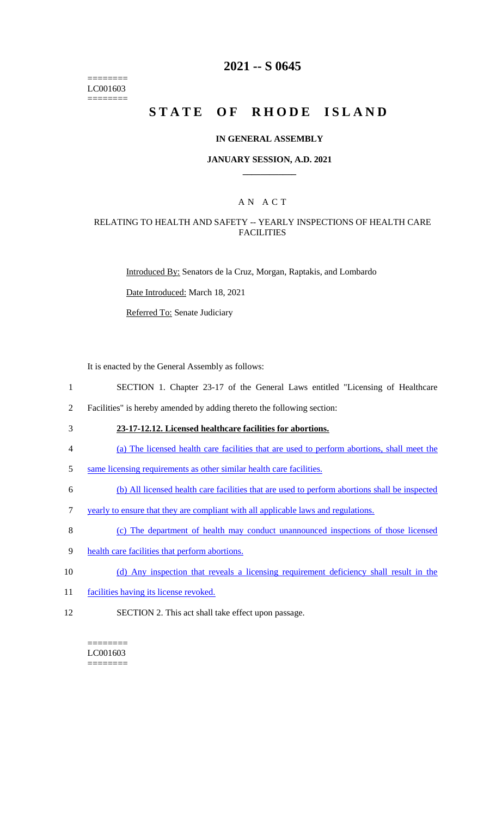======== LC001603 ========

# **2021 -- S 0645**

# **STATE OF RHODE ISLAND**

#### **IN GENERAL ASSEMBLY**

#### **JANUARY SESSION, A.D. 2021 \_\_\_\_\_\_\_\_\_\_\_\_**

## A N A C T

## RELATING TO HEALTH AND SAFETY -- YEARLY INSPECTIONS OF HEALTH CARE **FACILITIES**

Introduced By: Senators de la Cruz, Morgan, Raptakis, and Lombardo

Date Introduced: March 18, 2021

Referred To: Senate Judiciary

It is enacted by the General Assembly as follows:

- 1 SECTION 1. Chapter 23-17 of the General Laws entitled "Licensing of Healthcare
- 2 Facilities" is hereby amended by adding thereto the following section:
- 
- 3 **23-17-12.12. Licensed healthcare facilities for abortions.**
- 4 (a) The licensed health care facilities that are used to perform abortions, shall meet the
- 5 same licensing requirements as other similar health care facilities.
- 6 (b) All licensed health care facilities that are used to perform abortions shall be inspected
- 7 yearly to ensure that they are compliant with all applicable laws and regulations.
- 8 (c) The department of health may conduct unannounced inspections of those licensed
- 9 health care facilities that perform abortions.
- 10 (d) Any inspection that reveals a licensing requirement deficiency shall result in the
- 11 facilities having its license revoked.
- 12 SECTION 2. This act shall take effect upon passage.

#### ======== LC001603 ========